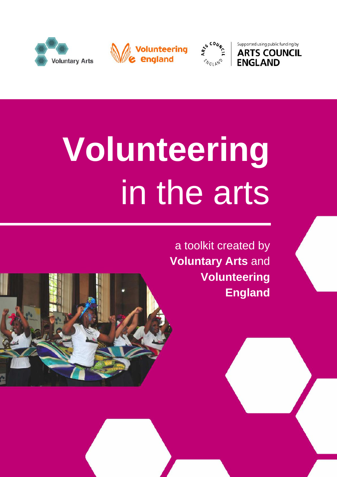





Supported using public funding by **ARTS COUNCIL ENGLAND** 

# **Volunteering** in the arts

a toolkit created by **Voluntary Arts** and **Volunteering England**

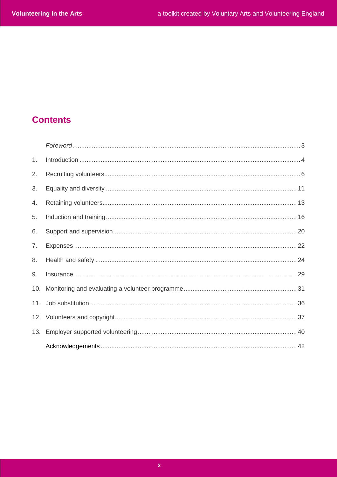# **Contents**

| 1.  | Introduction 4 |  |
|-----|----------------|--|
| 2.  |                |  |
| 3.  |                |  |
| 4.  |                |  |
| 5.  |                |  |
| 6.  |                |  |
| 7.  |                |  |
| 8.  |                |  |
| 9.  |                |  |
| 10. |                |  |
|     |                |  |
|     |                |  |
|     |                |  |
|     |                |  |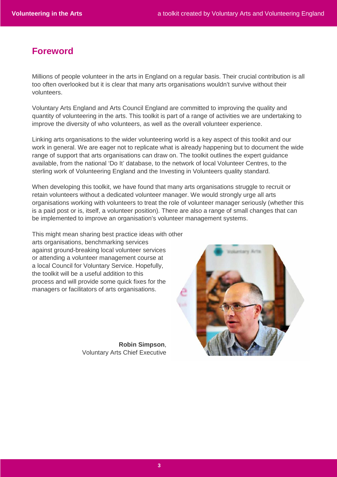# **Foreword**

Millions of people volunteer in the arts in England on a regular basis. Their crucial contribution is all too often overlooked but it is clear that many arts organisations wouldn't survive without their volunteers.

Voluntary Arts England and Arts Council England are committed to improving the quality and quantity of volunteering in the arts. This toolkit is part of a range of activities we are undertaking to improve the diversity of who volunteers, as well as the overall volunteer experience.

Linking arts organisations to the wider volunteering world is a key aspect of this toolkit and our work in general. We are eager not to replicate what is already happening but to document the wide range of support that arts organisations can draw on. The toolkit outlines the expert guidance available, from the national 'Do It' database, to the network of local Volunteer Centres, to the sterling work of Volunteering England and the Investing in Volunteers quality standard.

When developing this toolkit, we have found that many arts organisations struggle to recruit or retain volunteers without a dedicated volunteer manager. We would strongly urge all arts organisations working with volunteers to treat the role of volunteer manager seriously (whether this is a paid post or is, itself, a volunteer position). There are also a range of small changes that can be implemented to improve an organisation's volunteer management systems.

This might mean sharing best practice ideas with other arts organisations, benchmarking services against ground-breaking local volunteer services or attending a volunteer management course at a local Council for Voluntary Service. Hopefully, the toolkit will be a useful addition to this process and will provide some quick fixes for the managers or facilitators of arts organisations.

> **Robin Simpson**, Voluntary Arts Chief Executive

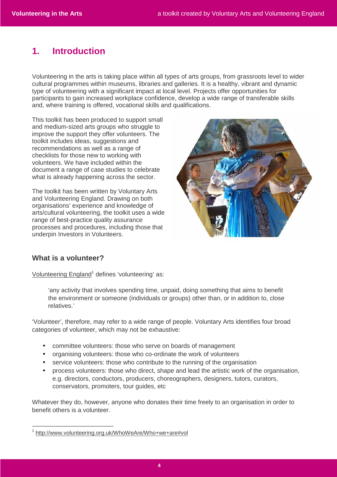# **1. Introduction**

Volunteering in the arts is taking place within all types of arts groups, from grassroots level to wider cultural programmes within museums, libraries and galleries. It is a healthy, vibrant and dynamic type of volunteering with a significant impact at local level. Projects offer opportunities for participants to gain increased workplace confidence, develop a wide range of transferable skills and, where training is offered, vocational skills and qualifications.

This toolkit has been produced to support small and medium-sized arts groups who struggle to improve the support they offer volunteers. The toolkit includes ideas, suggestions and recommendations as well as a range of checklists for those new to working with volunteers. We have included within the document a range of case studies to celebrate what is already happening across the sector.

The toolkit has been written by Voluntary Arts and Volunteering England. Drawing on both organisations' experience and knowledge of arts/cultural volunteering, the toolkit uses a wide range of best-practice quality assurance processes and procedures, including those that underpin Investors in Volunteers.



# **What is a volunteer?**

 $\overline{a}$ 

Volunteering England<sup>1</sup> defines 'volunteering' as:

'any activity that involves spending time, unpaid, doing something that aims to benefit the environment or someone (individuals or groups) other than, or in addition to, close relatives.'

'Volunteer', therefore, may refer to a wide range of people. Voluntary Arts identifies four broad categories of volunteer, which may not be exhaustive:

- committee volunteers: those who serve on boards of management
- organising volunteers: those who co-ordinate the work of volunteers
- service volunteers: those who contribute to the running of the organisation
- process volunteers: those who direct, shape and lead the artistic work of the organisation, e.g. directors, conductors, producers, choreographers, designers, tutors, curators, conservators, promoters, tour guides, etc

Whatever they do, however, anyone who donates their time freely to an organisation in order to benefit others is a volunteer.

<sup>1</sup> http://www.volunteering.org.uk/WhoWeAre/Who+we+are#vol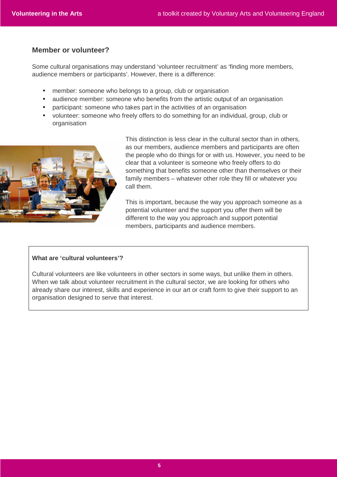# **Member or volunteer?**

Some cultural organisations may understand 'volunteer recruitment' as 'finding more members, audience members or participants'. However, there is a difference:

- member: someone who belongs to a group, club or organisation
- audience member: someone who benefits from the artistic output of an organisation
- participant: someone who takes part in the activities of an organisation
- volunteer: someone who freely offers to do something for an individual, group, club or organisation



This distinction is less clear in the cultural sector than in others, as our members, audience members and participants are often the people who do things for or with us. However, you need to be clear that a volunteer is someone who freely offers to do something that benefits someone other than themselves or their family members – whatever other role they fill or whatever you call them.

This is important, because the way you approach someone as a potential volunteer and the support you offer them will be different to the way you approach and support potential members, participants and audience members.

### **What are 'cultural volunteers'?**

Cultural volunteers are like volunteers in other sectors in some ways, but unlike them in others. When we talk about volunteer recruitment in the cultural sector, we are looking for others who already share our interest, skills and experience in our art or craft form to give their support to an organisation designed to serve that interest.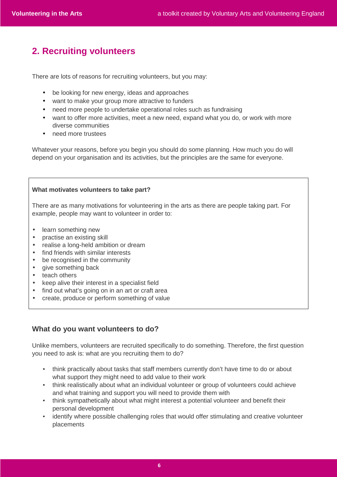# **2. Recruiting volunteers**

There are lots of reasons for recruiting volunteers, but you may:

- be looking for new energy, ideas and approaches
- want to make your group more attractive to funders
- need more people to undertake operational roles such as fundraising
- want to offer more activities, meet a new need, expand what you do, or work with more diverse communities
- need more trustees

Whatever your reasons, before you begin you should do some planning. How much you do will depend on your organisation and its activities, but the principles are the same for everyone.

### **What motivates volunteers to take part?**

There are as many motivations for volunteering in the arts as there are people taking part. For example, people may want to volunteer in order to:

- learn something new
- practise an existing skill
- realise a long-held ambition or dream
- find friends with similar interests
- be recognised in the community
- give something back
- teach others
- keep alive their interest in a specialist field
- find out what's going on in an art or craft area
- create, produce or perform something of value

# **What do you want volunteers to do?**

Unlike members, volunteers are recruited specifically to do something. Therefore, the first question you need to ask is: what are you recruiting them to do?

- think practically about tasks that staff members currently don't have time to do or about what support they might need to add value to their work
- think realistically about what an individual volunteer or group of volunteers could achieve and what training and support you will need to provide them with
- think sympathetically about what might interest a potential volunteer and benefit their personal development
- identify where possible challenging roles that would offer stimulating and creative volunteer placements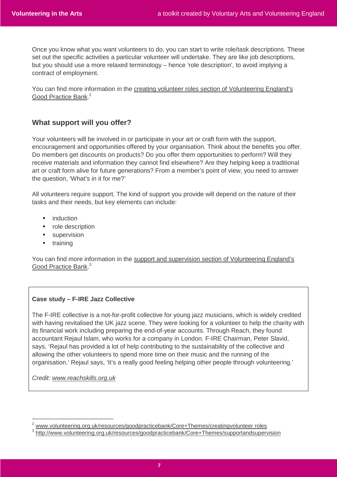Once you know what you want volunteers to do, you can start to write role/task descriptions. These set out the specific activities a particular volunteer will undertake. They are like job descriptions, but you should use a more relaxed terminology – hence 'role description', to avoid implying a contract of employment.

You can find more information in the creating volunteer roles section of Volunteering England's Good Practice Bank.<sup>2</sup>

# **What support will you offer?**

Your volunteers will be involved in or participate in your art or craft form with the support, encouragement and opportunities offered by your organisation. Think about the benefits you offer. Do members get discounts on products? Do you offer them opportunities to perform? Will they receive materials and information they cannot find elsewhere? Are they helping keep a traditional art or craft form alive for future generations? From a member's point of view, you need to answer the question, 'What's in it for me?'

All volunteers require support. The kind of support you provide will depend on the nature of their tasks and their needs, but key elements can include:

- induction
- role description
- supervision
- training

You can find more information in the support and supervision section of Volunteering England's Good Practice Bank.<sup>3</sup>

### **Case study – F-IRE Jazz Collective**

The F-IRE collective is a not-for-profit collective for young jazz musicians, which is widely credited with having revitalised the UK jazz scene. They were looking for a volunteer to help the charity with its financial work including preparing the end-of-year accounts. Through Reach, they found accountant Rejaul Islam, who works for a company in London. F-IRE Chairman, Peter Slavid, says, 'Rejaul has provided a lot of help contributing to the sustainability of the collective and allowing the other volunteers to spend more time on their music and the running of the organisation.' Rejaul says, 'It's a really good feeling helping other people through volunteering.'

Credit: www.reachskills.org.uk

 $\overline{a}$ 

<sup>&</sup>lt;sup>2</sup> www.volunteering.org.uk/resources/goodpracticebank/Core+Themes/creatingvolunteer roles

<sup>&</sup>lt;sup>3</sup> http://www.volunteering.org.uk/resources/goodpracticebank/Core+Themes/supportandsupervision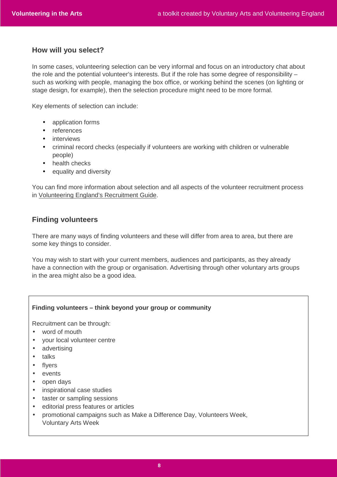# **How will you select?**

In some cases, volunteering selection can be very informal and focus on an introductory chat about the role and the potential volunteer's interests. But if the role has some degree of responsibility – such as working with people, managing the box office, or working behind the scenes (on lighting or stage design, for example), then the selection procedure might need to be more formal.

Key elements of selection can include:

- application forms
- references
- **•** interviews
- criminal record checks (especially if volunteers are working with children or vulnerable people)
- health checks
- equality and diversity

You can find more information about selection and all aspects of the volunteer recruitment process in Volunteering England's Recruitment Guide.

# **Finding volunteers**

There are many ways of finding volunteers and these will differ from area to area, but there are some key things to consider.

You may wish to start with your current members, audiences and participants, as they already have a connection with the group or organisation. Advertising through other voluntary arts groups in the area might also be a good idea.

### **Finding volunteers – think beyond your group or community**

Recruitment can be through:

- word of mouth
- your local volunteer centre
- advertising
- talks
- flyers
- events
- open days
- inspirational case studies
- taster or sampling sessions
- editorial press features or articles
- promotional campaigns such as Make a Difference Day, Volunteers Week, Voluntary Arts Week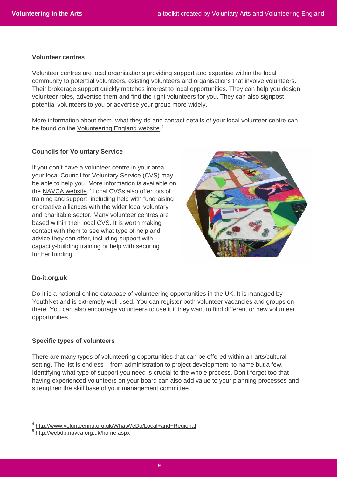#### **Volunteer centres**

Volunteer centres are local organisations providing support and expertise within the local community to potential volunteers, existing volunteers and organisations that involve volunteers. Their brokerage support quickly matches interest to local opportunities. They can help you design volunteer roles, advertise them and find the right volunteers for you. They can also signpost potential volunteers to you or advertise your group more widely.

More information about them, what they do and contact details of your local volunteer centre can be found on the Volunteering England website.<sup>4</sup>

### **Councils for Voluntary Service**

If you don't have a volunteer centre in your area, your local Council for Voluntary Service (CVS) may be able to help you. More information is available on the NAVCA website.<sup>5</sup> Local CVSs also offer lots of training and support, including help with fundraising or creative alliances with the wider local voluntary and charitable sector. Many volunteer centres are based within their local CVS. It is worth making contact with them to see what type of help and advice they can offer, including support with capacity-building training or help with securing further funding.



### **Do-it.org.uk**

 $\overline{a}$ 

Do-it is a national online database of volunteering opportunities in the UK. It is managed by YouthNet and is extremely well used. You can register both volunteer vacancies and groups on there. You can also encourage volunteers to use it if they want to find different or new volunteer opportunities.

### **Specific types of volunteers**

There are many types of volunteering opportunities that can be offered within an arts/cultural setting. The list is endless – from administration to project development, to name but a few. Identifying what type of support you need is crucial to the whole process. Don't forget too that having experienced volunteers on your board can also add value to your planning processes and strengthen the skill base of your management committee.

4 http://www.volunteering.org.uk/WhatWeDo/Local+and+Regional

<sup>5</sup> http://webdb.navca.org.uk/home.aspx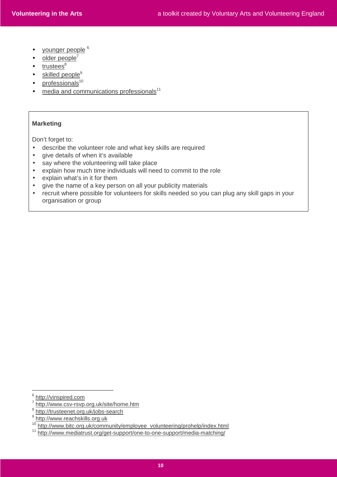- younger people 6
- $\bullet$  older people
- $\bullet$  trustees<sup>8</sup>
- $\bullet$  skilled people<sup>9</sup>
- $\bullet$  professionals<sup>10</sup>
- $\bullet$  media and communications professionals<sup>11</sup>

### **Marketing**

Don't forget to:

- describe the volunteer role and what key skills are required
- give details of when it's available
- say where the volunteering will take place
- explain how much time individuals will need to commit to the role
- explain what's in it for them
- give the name of a key person on all your publicity materials
- recruit where possible for volunteers for skills needed so you can plug any skill gaps in your organisation or group

 $\overline{a}$ 

<sup>&</sup>lt;sup>6</sup> http://vinspired.com

<sup>7</sup> http://www.csv-rsvp.org.uk/site/home.htm

<sup>&</sup>lt;sup>8</sup> http://trusteenet.org.uk/jobs-search

<sup>&</sup>lt;sup>9</sup> http://www.reachskills.org.uk

<sup>10</sup> http://www.bitc.org.uk/community/employee\_volunteering/prohelp/index.html

<sup>11</sup> http://www.mediatrust.org/get-support/one-to-one-support/media-matching/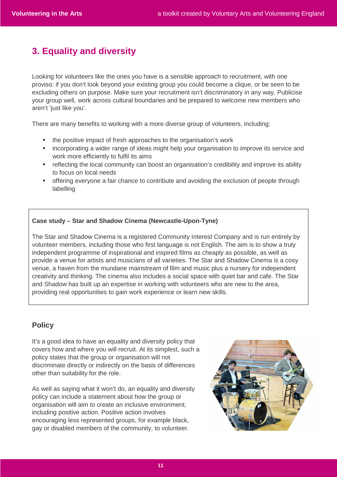# **3. Equality and diversity**

Looking for volunteers like the ones you have is a sensible approach to recruitment, with one proviso: if you don't look beyond your existing group you could become a clique, or be seen to be excluding others on purpose. Make sure your recruitment isn't discriminatory in any way. Publicise your group well, work across cultural boundaries and be prepared to welcome new members who aren't 'just like you'.

There are many benefits to working with a more diverse group of volunteers, including:

- the positive impact of fresh approaches to the organisation's work
- incorporating a wider range of ideas might help your organisation to improve its service and work more efficiently to fulfil its aims
- reflecting the local community can boost an organisation's credibility and improve its ability to focus on local needs
- offering everyone a fair chance to contribute and avoiding the exclusion of people through labelling

### **Case study – Star and Shadow Cinema (Newcastle-Upon-Tyne)**

The Star and Shadow Cinema is a registered Community Interest Company and is run entirely by volunteer members, including those who first language is not English. The aim is to show a truly independent programme of inspirational and inspired films as cheaply as possible, as well as provide a venue for artists and musicians of all varieties. The Star and Shadow Cinema is a cosy venue, a haven from the mundane mainstream of film and music plus a nursery for independent creativity and thinking. The cinema also includes a social space with quiet bar and cafe. The Star and Shadow has built up an expertise in working with volunteers who are new to the area, providing real opportunities to gain work experience or learn new skills.

# **Policy**

It's a good idea to have an equality and diversity policy that covers how and where you will recruit. At its simplest, such a policy states that the group or organisation will not discriminate directly or indirectly on the basis of differences other than suitability for the role.

As well as saying what it won't do, an equality and diversity policy can include a statement about how the group or organisation will aim to create an inclusive environment, including positive action. Positive action involves encouraging less represented groups, for example black, gay or disabled members of the community, to volunteer.

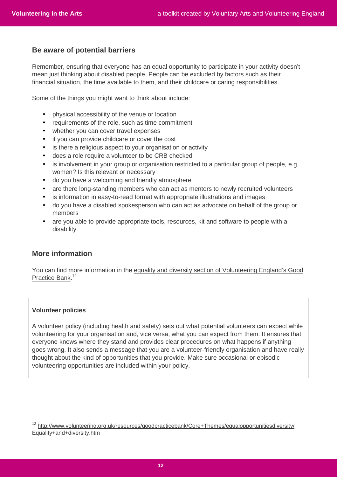### **Be aware of potential barriers**

Remember, ensuring that everyone has an equal opportunity to participate in your activity doesn't mean just thinking about disabled people. People can be excluded by factors such as their financial situation, the time available to them, and their childcare or caring responsibilities.

Some of the things you might want to think about include:

- physical accessibility of the venue or location
- requirements of the role, such as time commitment
- whether you can cover travel expenses
- if you can provide childcare or cover the cost
- is there a religious aspect to your organisation or activity
- does a role require a volunteer to be CRB checked
- is involvement in your group or organisation restricted to a particular group of people, e.g. women? Is this relevant or necessary
- do you have a welcoming and friendly atmosphere
- are there long-standing members who can act as mentors to newly recruited volunteers
- is information in easy-to-read format with appropriate illustrations and images
- do you have a disabled spokesperson who can act as advocate on behalf of the group or members
- are you able to provide appropriate tools, resources, kit and software to people with a disability

# **More information**

You can find more information in the equality and diversity section of Volunteering England's Good Practice Bank.<sup>12</sup>

#### **Volunteer policies**

 $\overline{a}$ 

A volunteer policy (including health and safety) sets out what potential volunteers can expect while volunteering for your organisation and, vice versa, what you can expect from them. It ensures that everyone knows where they stand and provides clear procedures on what happens if anything goes wrong. It also sends a message that you are a volunteer-friendly organisation and have really thought about the kind of opportunities that you provide. Make sure occasional or episodic volunteering opportunities are included within your policy.

<sup>&</sup>lt;sup>12</sup> http://www.volunteering.org.uk/resources/goodpracticebank/Core+Themes/equalopportunitiesdiversity/ Equality+and+diversity.htm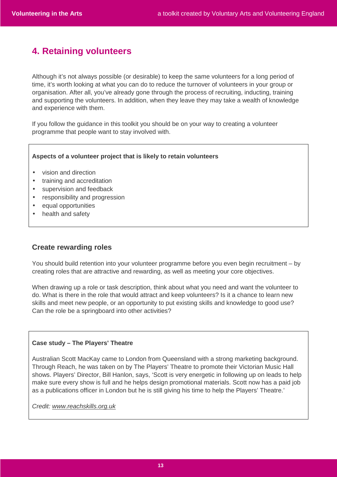# **4. Retaining volunteers**

Although it's not always possible (or desirable) to keep the same volunteers for a long period of time, it's worth looking at what you can do to reduce the turnover of volunteers in your group or organisation. After all, you've already gone through the process of recruiting, inducting, training and supporting the volunteers. In addition, when they leave they may take a wealth of knowledge and experience with them.

If you follow the guidance in this toolkit you should be on your way to creating a volunteer programme that people want to stay involved with.

### **Aspects of a volunteer project that is likely to retain volunteers**

- vision and direction
- training and accreditation
- supervision and feedback
- responsibility and progression
- equal opportunities
- health and safety

# **Create rewarding roles**

You should build retention into your volunteer programme before you even begin recruitment – by creating roles that are attractive and rewarding, as well as meeting your core objectives.

When drawing up a role or task description, think about what you need and want the volunteer to do. What is there in the role that would attract and keep volunteers? Is it a chance to learn new skills and meet new people, or an opportunity to put existing skills and knowledge to good use? Can the role be a springboard into other activities?

#### **Case study – The Players' Theatre**

Australian Scott MacKay came to London from Queensland with a strong marketing background. Through Reach, he was taken on by The Players' Theatre to promote their Victorian Music Hall shows. Players' Director, Bill Hanlon, says, 'Scott is very energetic in following up on leads to help make sure every show is full and he helps design promotional materials. Scott now has a paid job as a publications officer in London but he is still giving his time to help the Players' Theatre.'

Credit: www.reachskills.org.uk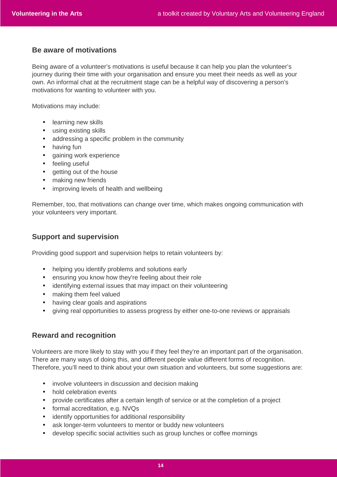# **Be aware of motivations**

Being aware of a volunteer's motivations is useful because it can help you plan the volunteer's journey during their time with your organisation and ensure you meet their needs as well as your own. An informal chat at the recruitment stage can be a helpful way of discovering a person's motivations for wanting to volunteer with you.

Motivations may include:

- learning new skills
- using existing skills
- addressing a specific problem in the community
- having fun
- gaining work experience
- feeling useful
- getting out of the house
- making new friends
- improving levels of health and wellbeing

Remember, too, that motivations can change over time, which makes ongoing communication with your volunteers very important.

### **Support and supervision**

Providing good support and supervision helps to retain volunteers by:

- helping you identify problems and solutions early
- ensuring you know how they're feeling about their role
- identifying external issues that may impact on their volunteering
- making them feel valued
- having clear goals and aspirations
- giving real opportunities to assess progress by either one-to-one reviews or appraisals

# **Reward and recognition**

Volunteers are more likely to stay with you if they feel they're an important part of the organisation. There are many ways of doing this, and different people value different forms of recognition. Therefore, you'll need to think about your own situation and volunteers, but some suggestions are:

- involve volunteers in discussion and decision making
- hold celebration events
- provide certificates after a certain length of service or at the completion of a project
- formal accreditation, e.g. NVQs
- identify opportunities for additional responsibility
- ask longer-term volunteers to mentor or buddy new volunteers
- develop specific social activities such as group lunches or coffee mornings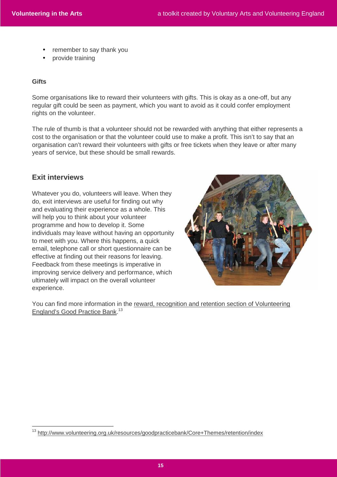- remember to say thank you
- provide training

### **Gifts**

Some organisations like to reward their volunteers with gifts. This is okay as a one-off, but any regular gift could be seen as payment, which you want to avoid as it could confer employment rights on the volunteer.

The rule of thumb is that a volunteer should not be rewarded with anything that either represents a cost to the organisation or that the volunteer could use to make a profit. This isn't to say that an organisation can't reward their volunteers with gifts or free tickets when they leave or after many years of service, but these should be small rewards.

### **Exit interviews**

 $\overline{a}$ 

Whatever you do, volunteers will leave. When they do, exit interviews are useful for finding out why and evaluating their experience as a whole. This will help you to think about your volunteer programme and how to develop it. Some individuals may leave without having an opportunity to meet with you. Where this happens, a quick email, telephone call or short questionnaire can be effective at finding out their reasons for leaving. Feedback from these meetings is imperative in improving service delivery and performance, which ultimately will impact on the overall volunteer experience.



You can find more information in the reward, recognition and retention section of Volunteering England's Good Practice Bank.<sup>13</sup>

<sup>13</sup> http://www.volunteering.org.uk/resources/goodpracticebank/Core+Themes/retention/index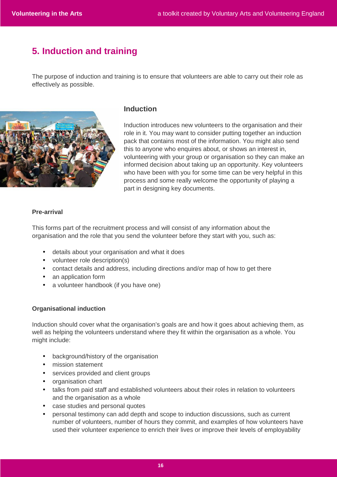# **5. Induction and training**

The purpose of induction and training is to ensure that volunteers are able to carry out their role as effectively as possible.



# **Induction**

Induction introduces new volunteers to the organisation and their role in it. You may want to consider putting together an induction pack that contains most of the information. You might also send this to anyone who enquires about, or shows an interest in, volunteering with your group or organisation so they can make an informed decision about taking up an opportunity. Key volunteers who have been with you for some time can be very helpful in this process and some really welcome the opportunity of playing a part in designing key documents.

### **Pre-arrival**

This forms part of the recruitment process and will consist of any information about the organisation and the role that you send the volunteer before they start with you, such as:

- details about your organisation and what it does
- volunteer role description(s)
- contact details and address, including directions and/or map of how to get there
- an application form
- a volunteer handbook (if you have one)

#### **Organisational induction**

Induction should cover what the organisation's goals are and how it goes about achieving them, as well as helping the volunteers understand where they fit within the organisation as a whole. You might include:

- background/history of the organisation
- mission statement
- services provided and client groups
- organisation chart
- talks from paid staff and established volunteers about their roles in relation to volunteers and the organisation as a whole
- case studies and personal quotes
- personal testimony can add depth and scope to induction discussions, such as current number of volunteers, number of hours they commit, and examples of how volunteers have used their volunteer experience to enrich their lives or improve their levels of employability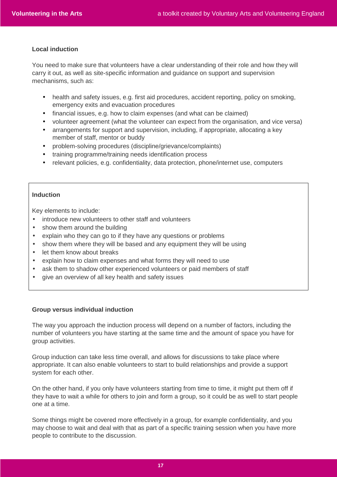### **Local induction**

You need to make sure that volunteers have a clear understanding of their role and how they will carry it out, as well as site-specific information and guidance on support and supervision mechanisms, such as:

- health and safety issues, e.g. first aid procedures, accident reporting, policy on smoking, emergency exits and evacuation procedures
- financial issues, e.g. how to claim expenses (and what can be claimed)
- volunteer agreement (what the volunteer can expect from the organisation, and vice versa)
- arrangements for support and supervision, including, if appropriate, allocating a key member of staff, mentor or buddy
- problem-solving procedures (discipline/grievance/complaints)
- training programme/training needs identification process
- relevant policies, e.g. confidentiality, data protection, phone/internet use, computers

### **Induction**

Key elements to include:

- introduce new volunteers to other staff and volunteers
- show them around the building
- explain who they can go to if they have any questions or problems
- show them where they will be based and any equipment they will be using
- let them know about breaks
- explain how to claim expenses and what forms they will need to use
- ask them to shadow other experienced volunteers or paid members of staff
- give an overview of all key health and safety issues

#### **Group versus individual induction**

The way you approach the induction process will depend on a number of factors, including the number of volunteers you have starting at the same time and the amount of space you have for group activities.

Group induction can take less time overall, and allows for discussions to take place where appropriate. It can also enable volunteers to start to build relationships and provide a support system for each other.

On the other hand, if you only have volunteers starting from time to time, it might put them off if they have to wait a while for others to join and form a group, so it could be as well to start people one at a time.

Some things might be covered more effectively in a group, for example confidentiality, and you may choose to wait and deal with that as part of a specific training session when you have more people to contribute to the discussion.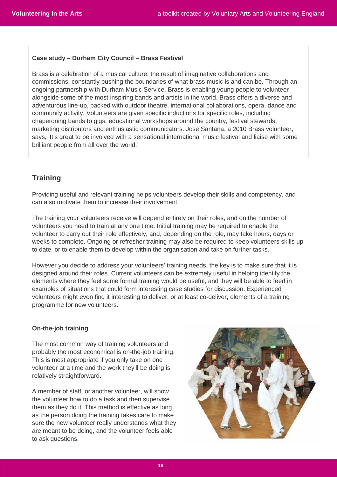### **Case study – Durham City Council – Brass Festival**

Brass is a celebration of a musical culture: the result of imaginative collaborations and commissions, constantly pushing the boundaries of what brass music is and can be. Through an ongoing partnership with Durham Music Service, Brass is enabling young people to volunteer alongside some of the most inspiring bands and artists in the world. Brass offers a diverse and adventurous line-up, packed with outdoor theatre, international collaborations, opera, dance and community activity. Volunteers are given specific inductions for specific roles, including chaperoning bands to gigs, educational workshops around the country, festival stewards, marketing distributors and enthusiastic communicators. Jose Santana, a 2010 Brass volunteer, says, 'It's great to be involved with a sensational international music festival and liaise with some brilliant people from all over the world.'

# **Training**

Providing useful and relevant training helps volunteers develop their skills and competency, and can also motivate them to increase their involvement.

The training your volunteers receive will depend entirely on their roles, and on the number of volunteers you need to train at any one time. Initial training may be required to enable the volunteer to carry out their role effectively, and, depending on the role, may take hours, days or weeks to complete. Ongoing or refresher training may also be required to keep volunteers skills up to date, or to enable them to develop within the organisation and take on further tasks.

However you decide to address your volunteers' training needs, the key is to make sure that it is designed around their roles. Current volunteers can be extremely useful in helping identify the elements where they feel some formal training would be useful, and they will be able to feed in examples of situations that could form interesting case studies for discussion. Experienced volunteers might even find it interesting to deliver, or at least co-deliver, elements of a training programme for new volunteers.

### **On-the-job training**

The most common way of training volunteers and probably the most economical is on-the-job training. This is most appropriate if you only take on one volunteer at a time and the work they'll be doing is relatively straightforward.

A member of staff, or another volunteer, will show the volunteer how to do a task and then supervise them as they do it. This method is effective as long as the person doing the training takes care to make sure the new volunteer really understands what they are meant to be doing, and the volunteer feels able to ask questions.

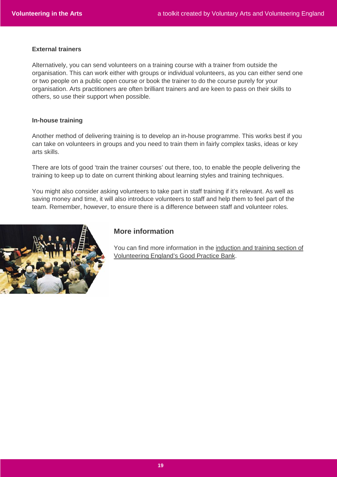### **External trainers**

Alternatively, you can send volunteers on a training course with a trainer from outside the organisation. This can work either with groups or individual volunteers, as you can either send one or two people on a public open course or book the trainer to do the course purely for your organisation. Arts practitioners are often brilliant trainers and are keen to pass on their skills to others, so use their support when possible.

#### **In-house training**

Another method of delivering training is to develop an in-house programme. This works best if you can take on volunteers in groups and you need to train them in fairly complex tasks, ideas or key arts skills.

There are lots of good 'train the trainer courses' out there, too, to enable the people delivering the training to keep up to date on current thinking about learning styles and training techniques.

You might also consider asking volunteers to take part in staff training if it's relevant. As well as saving money and time, it will also introduce volunteers to staff and help them to feel part of the team. Remember, however, to ensure there is a difference between staff and volunteer roles.



### **More information**

You can find more information in the induction and training section of Volunteering England's Good Practice Bank.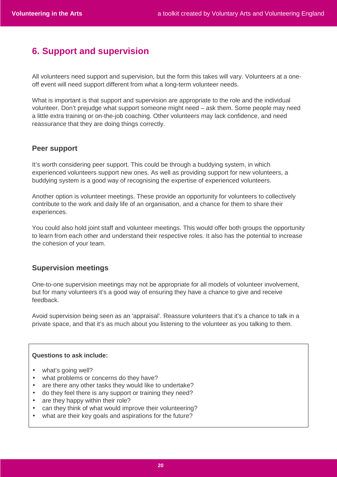# **6. Support and supervision**

All volunteers need support and supervision, but the form this takes will vary. Volunteers at a oneoff event will need support different from what a long-term volunteer needs.

What is important is that support and supervision are appropriate to the role and the individual volunteer. Don't prejudge what support someone might need – ask them. Some people may need a little extra training or on-the-job coaching. Other volunteers may lack confidence, and need reassurance that they are doing things correctly.

### **Peer support**

It's worth considering peer support. This could be through a buddying system, in which experienced volunteers support new ones. As well as providing support for new volunteers, a buddying system is a good way of recognising the expertise of experienced volunteers.

Another option is volunteer meetings. These provide an opportunity for volunteers to collectively contribute to the work and daily life of an organisation, and a chance for them to share their experiences.

You could also hold joint staff and volunteer meetings. This would offer both groups the opportunity to learn from each other and understand their respective roles. It also has the potential to increase the cohesion of your team.

# **Supervision meetings**

One-to-one supervision meetings may not be appropriate for all models of volunteer involvement, but for many volunteers it's a good way of ensuring they have a chance to give and receive feedback.

Avoid supervision being seen as an 'appraisal'. Reassure volunteers that it's a chance to talk in a private space, and that it's as much about you listening to the volunteer as you talking to them.

#### **Questions to ask include:**

- what's going well?
- what problems or concerns do they have?
- are there any other tasks they would like to undertake?
- do they feel there is any support or training they need?
- are they happy within their role?
- can they think of what would improve their volunteering?
- what are their key goals and aspirations for the future?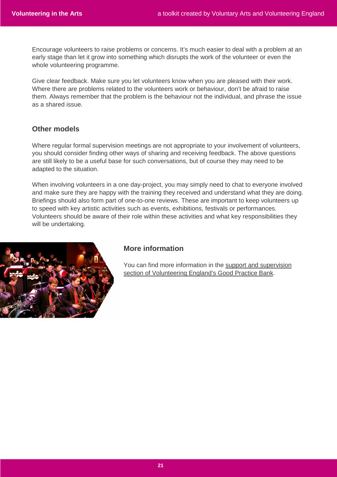Encourage volunteers to raise problems or concerns. It's much easier to deal with a problem at an early stage than let it grow into something which disrupts the work of the volunteer or even the whole volunteering programme.

Give clear feedback. Make sure you let volunteers know when you are pleased with their work. Where there are problems related to the volunteers work or behaviour, don't be afraid to raise them. Always remember that the problem is the behaviour not the individual, and phrase the issue as a shared issue.

# **Other models**

Where regular formal supervision meetings are not appropriate to your involvement of volunteers, you should consider finding other ways of sharing and receiving feedback. The above questions are still likely to be a useful base for such conversations, but of course they may need to be adapted to the situation.

When involving volunteers in a one day-project, you may simply need to chat to everyone involved and make sure they are happy with the training they received and understand what they are doing. Briefings should also form part of one-to-one reviews. These are important to keep volunteers up to speed with key artistic activities such as events, exhibitions, festivals or performances. Volunteers should be aware of their role within these activities and what key responsibilities they will be undertaking.



# **More information**

You can find more information in the support and supervision section of Volunteering England's Good Practice Bank.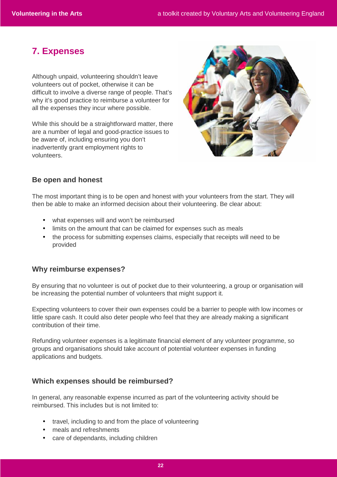# **7. Expenses**

Although unpaid, volunteering shouldn't leave volunteers out of pocket, otherwise it can be difficult to involve a diverse range of people. That's why it's good practice to reimburse a volunteer for all the expenses they incur where possible.

While this should be a straightforward matter, there are a number of legal and good-practice issues to be aware of, including ensuring you don't inadvertently grant employment rights to volunteers.



# **Be open and honest**

The most important thing is to be open and honest with your volunteers from the start. They will then be able to make an informed decision about their volunteering. Be clear about:

- what expenses will and won't be reimbursed
- limits on the amount that can be claimed for expenses such as meals
- the process for submitting expenses claims, especially that receipts will need to be provided

# **Why reimburse expenses?**

By ensuring that no volunteer is out of pocket due to their volunteering, a group or organisation will be increasing the potential number of volunteers that might support it.

Expecting volunteers to cover their own expenses could be a barrier to people with low incomes or little spare cash. It could also deter people who feel that they are already making a significant contribution of their time.

Refunding volunteer expenses is a legitimate financial element of any volunteer programme, so groups and organisations should take account of potential volunteer expenses in funding applications and budgets.

# **Which expenses should be reimbursed?**

In general, any reasonable expense incurred as part of the volunteering activity should be reimbursed. This includes but is not limited to:

- travel, including to and from the place of volunteering
- meals and refreshments
- care of dependants, including children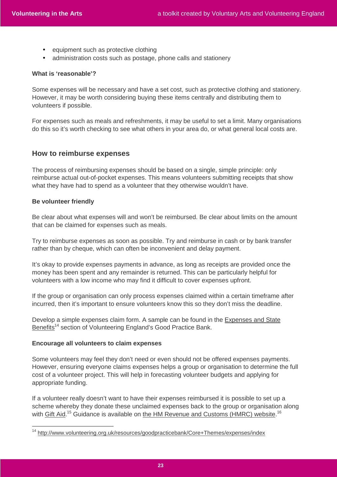- equipment such as protective clothing
- administration costs such as postage, phone calls and stationery

### **What is 'reasonable'?**

Some expenses will be necessary and have a set cost, such as protective clothing and stationery. However, it may be worth considering buying these items centrally and distributing them to volunteers if possible.

For expenses such as meals and refreshments, it may be useful to set a limit. Many organisations do this so it's worth checking to see what others in your area do, or what general local costs are.

### **How to reimburse expenses**

The process of reimbursing expenses should be based on a single, simple principle: only reimburse actual out-of-pocket expenses. This means volunteers submitting receipts that show what they have had to spend as a volunteer that they otherwise wouldn't have.

### **Be volunteer friendly**

 $\overline{a}$ 

Be clear about what expenses will and won't be reimbursed. Be clear about limits on the amount that can be claimed for expenses such as meals.

Try to reimburse expenses as soon as possible. Try and reimburse in cash or by bank transfer rather than by cheque, which can often be inconvenient and delay payment.

It's okay to provide expenses payments in advance, as long as receipts are provided once the money has been spent and any remainder is returned. This can be particularly helpful for volunteers with a low income who may find it difficult to cover expenses upfront.

If the group or organisation can only process expenses claimed within a certain timeframe after incurred, then it's important to ensure volunteers know this so they don't miss the deadline.

Develop a simple expenses claim form. A sample can be found in the Expenses and State Benefits<sup>14</sup> section of Volunteering England's Good Practice Bank.

#### **Encourage all volunteers to claim expenses**

Some volunteers may feel they don't need or even should not be offered expenses payments. However, ensuring everyone claims expenses helps a group or organisation to determine the full cost of a volunteer project. This will help in forecasting volunteer budgets and applying for appropriate funding.

If a volunteer really doesn't want to have their expenses reimbursed it is possible to set up a scheme whereby they donate these unclaimed expenses back to the group or organisation along with <u>Gift Aid</u>.<sup>15</sup> Guidance is available on the HM Revenue and Customs (HMRC) website.<sup>16</sup>

<sup>14</sup> http://www.volunteering.org.uk/resources/goodpracticebank/Core+Themes/expenses/index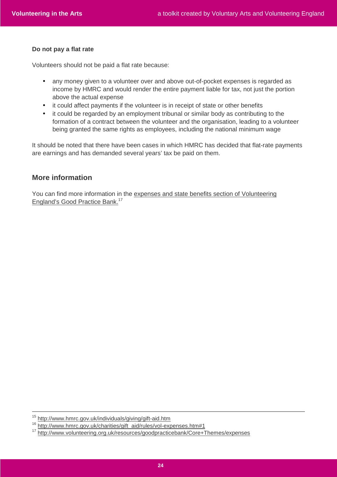### **Do not pay a flat rate**

Volunteers should not be paid a flat rate because:

- any money given to a volunteer over and above out-of-pocket expenses is regarded as income by HMRC and would render the entire payment liable for tax, not just the portion above the actual expense
- it could affect payments if the volunteer is in receipt of state or other benefits
- it could be regarded by an employment tribunal or similar body as contributing to the formation of a contract between the volunteer and the organisation, leading to a volunteer being granted the same rights as employees, including the national minimum wage

It should be noted that there have been cases in which HMRC has decided that flat-rate payments are earnings and has demanded several years' tax be paid on them.

# **More information**

You can find more information in the expenses and state benefits section of Volunteering England's Good Practice Bank.<sup>17</sup>

<sup>15</sup> http://www.hmrc.gov.uk/individuals/giving/gift-aid.htm

<sup>16</sup> http://www.hmrc.gov.uk/charities/gift\_aid/rules/vol-expenses.htm#1

<sup>17</sup> http://www.volunteering.org.uk/resources/goodpracticebank/Core+Themes/expenses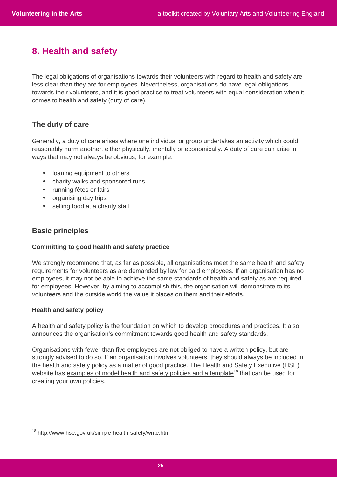# **8. Health and safety**

The legal obligations of organisations towards their volunteers with regard to health and safety are less clear than they are for employees. Nevertheless, organisations do have legal obligations towards their volunteers, and it is good practice to treat volunteers with equal consideration when it comes to health and safety (duty of care).

# **The duty of care**

Generally, a duty of care arises where one individual or group undertakes an activity which could reasonably harm another, either physically, mentally or economically. A duty of care can arise in ways that may not always be obvious, for example:

- loaning equipment to others
- charity walks and sponsored runs
- running fêtes or fairs
- organising day trips
- selling food at a charity stall

# **Basic principles**

### **Committing to good health and safety practice**

We strongly recommend that, as far as possible, all organisations meet the same health and safety requirements for volunteers as are demanded by law for paid employees. If an organisation has no employees, it may not be able to achieve the same standards of health and safety as are required for employees. However, by aiming to accomplish this, the organisation will demonstrate to its volunteers and the outside world the value it places on them and their efforts.

### **Health and safety policy**

 $\overline{a}$ 

A health and safety policy is the foundation on which to develop procedures and practices. It also announces the organisation's commitment towards good health and safety standards.

Organisations with fewer than five employees are not obliged to have a written policy, but are strongly advised to do so. If an organisation involves volunteers, they should always be included in the health and safety policy as a matter of good practice. The Health and Safety Executive (HSE) website has examples of model health and safety policies and a template<sup>18</sup> that can be used for creating your own policies.

<sup>18</sup> http://www.hse.gov.uk/simple-health-safety/write.htm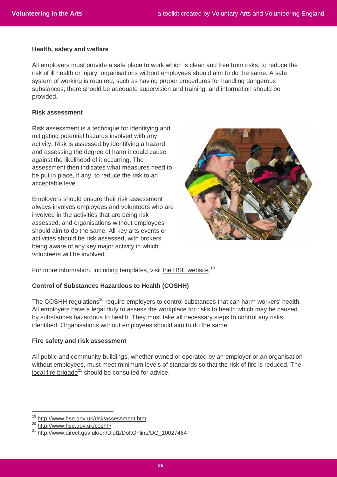#### **Health, safety and welfare**

All employers must provide a safe place to work which is clean and free from risks, to reduce the risk of ill health or injury; organisations without employees should aim to do the same. A safe system of working is required, such as having proper procedures for handling dangerous substances; there should be adequate supervision and training; and information should be provided.

#### **Risk assessment**

Risk assessment is a technique for identifying and mitigating potential hazards involved with any activity. Risk is assessed by identifying a hazard and assessing the degree of harm it could cause against the likelihood of it occurring. The assessment then indicates what measures need to be put in place, if any, to reduce the risk to an acceptable level.

Employers should ensure their risk assessment always involves employees and volunteers who are involved in the activities that are being risk assessed, and organisations without employees should aim to do the same. All key arts events or activities should be risk assessed, with brokers being aware of any key major activity in which volunteers will be involved.



For more information, including templates, visit the HSE website.<sup>19</sup>

### **Control of Substances Hazardous to Health (COSHH)**

The COSHH regulations<sup>20</sup> require employers to control substances that can harm workers' health. All employers have a legal duty to assess the workplace for risks to health which may be caused by substances hazardous to health. They must take all necessary steps to control any risks identified. Organisations without employees should aim to do the same.

#### **Fire safety and risk assessment**

All public and community buildings, whether owned or operated by an employer or an organisation without employees, must meet minimum levels of standards so that the risk of fire is reduced. The  $local$  fire brigade $^{21}$  should be consulted for advice.

<sup>19</sup> http://www.hse.gov.uk/risk/assessment.htm

<sup>20</sup> http://www.hse.gov.uk/coshh/

<sup>21</sup> http://www.direct.gov.uk/en/Diol1/DoItOnline/DG\_10027464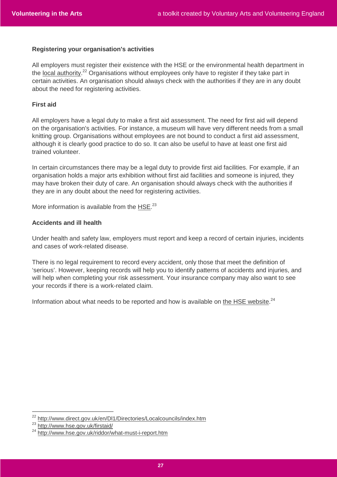### **Registering your organisation's activities**

All employers must register their existence with the HSE or the environmental health department in the local authority.<sup>22</sup> Organisations without employees only have to register if they take part in certain activities. An organisation should always check with the authorities if they are in any doubt about the need for registering activities.

### **First aid**

All employers have a legal duty to make a first aid assessment. The need for first aid will depend on the organisation's activities. For instance, a museum will have very different needs from a small knitting group. Organisations without employees are not bound to conduct a first aid assessment, although it is clearly good practice to do so. It can also be useful to have at least one first aid trained volunteer.

In certain circumstances there may be a legal duty to provide first aid facilities. For example, if an organisation holds a major arts exhibition without first aid facilities and someone is injured, they may have broken their duty of care. An organisation should always check with the authorities if they are in any doubt about the need for registering activities.

More information is available from the HSE.<sup>23</sup>

#### **Accidents and ill health**

Under health and safety law, employers must report and keep a record of certain injuries, incidents and cases of work-related disease.

There is no legal requirement to record every accident, only those that meet the definition of 'serious'. However, keeping records will help you to identify patterns of accidents and injuries, and will help when completing your risk assessment. Your insurance company may also want to see your records if there is a work-related claim.

Information about what needs to be reported and how is available on the HSE website.<sup>24</sup>

<sup>22</sup> http://www.direct.gov.uk/en/Dl1/Directories/Localcouncils/index.htm

<sup>23</sup> http://www.hse.gov.uk/firstaid/

<sup>&</sup>lt;sup>24</sup> http://www.hse.gov.uk/riddor/what-must-i-report.htm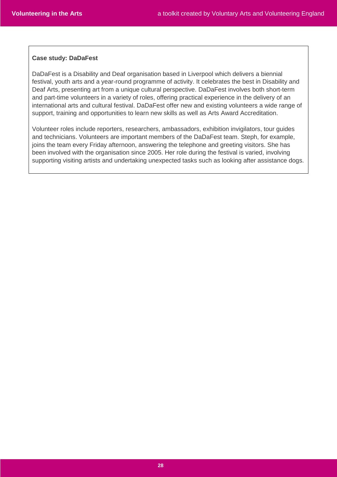### **Case study: DaDaFest**

DaDaFest is a Disability and Deaf organisation based in Liverpool which delivers a biennial festival, youth arts and a year-round programme of activity. It celebrates the best in Disability and Deaf Arts, presenting art from a unique cultural perspective. DaDaFest involves both short-term and part-time volunteers in a variety of roles, offering practical experience in the delivery of an international arts and cultural festival. DaDaFest offer new and existing volunteers a wide range of support, training and opportunities to learn new skills as well as Arts Award Accreditation.

Volunteer roles include reporters, researchers, ambassadors, exhibition invigilators, tour guides and technicians. Volunteers are important members of the DaDaFest team. Steph, for example, joins the team every Friday afternoon, answering the telephone and greeting visitors. She has been involved with the organisation since 2005. Her role during the festival is varied, involving supporting visiting artists and undertaking unexpected tasks such as looking after assistance dogs.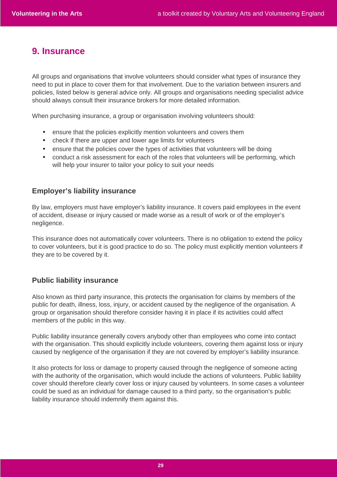# **9. Insurance**

All groups and organisations that involve volunteers should consider what types of insurance they need to put in place to cover them for that involvement. Due to the variation between insurers and policies, listed below is general advice only. All groups and organisations needing specialist advice should always consult their insurance brokers for more detailed information.

When purchasing insurance, a group or organisation involving volunteers should:

- ensure that the policies explicitly mention volunteers and covers them
- check if there are upper and lower age limits for volunteers
- ensure that the policies cover the types of activities that volunteers will be doing
- conduct a risk assessment for each of the roles that volunteers will be performing, which will help your insurer to tailor your policy to suit your needs

### **Employer's liability insurance**

By law, employers must have employer's liability insurance. It covers paid employees in the event of accident, disease or injury caused or made worse as a result of work or of the employer's negligence.

This insurance does not automatically cover volunteers. There is no obligation to extend the policy to cover volunteers, but it is good practice to do so. The policy must explicitly mention volunteers if they are to be covered by it.

### **Public liability insurance**

Also known as third party insurance, this protects the organisation for claims by members of the public for death, illness, loss, injury, or accident caused by the negligence of the organisation. A group or organisation should therefore consider having it in place if its activities could affect members of the public in this way.

Public liability insurance generally covers anybody other than employees who come into contact with the organisation. This should explicitly include volunteers, covering them against loss or injury caused by negligence of the organisation if they are not covered by employer's liability insurance.

It also protects for loss or damage to property caused through the negligence of someone acting with the authority of the organisation, which would include the actions of volunteers. Public liability cover should therefore clearly cover loss or injury caused by volunteers. In some cases a volunteer could be sued as an individual for damage caused to a third party, so the organisation's public liability insurance should indemnify them against this.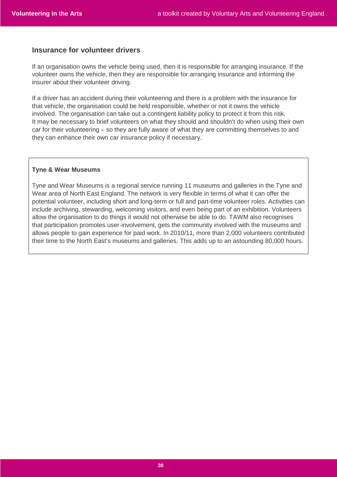# **Insurance for volunteer drivers**

If an organisation owns the vehicle being used, then it is responsible for arranging insurance. If the volunteer owns the vehicle, then they are responsible for arranging insurance and informing the insurer about their volunteer driving.

If a driver has an accident during their volunteering and there is a problem with the insurance for that vehicle, the organisation could be held responsible, whether or not it owns the vehicle involved. The organisation can take out a contingent liability policy to protect it from this risk. It may be necessary to brief volunteers on what they should and shouldn't do when using their own car for their volunteering – so they are fully aware of what they are committing themselves to and they can enhance their own car insurance policy if necessary.

#### **Tyne & Wear Museums**

Tyne and Wear Museums is a regional service running 11 museums and galleries in the Tyne and Wear area of North East England. The network is very flexible in terms of what it can offer the potential volunteer, including short and long-term or full and part-time volunteer roles. Activities can include archiving, stewarding, welcoming visitors, and even being part of an exhibition. Volunteers allow the organisation to do things it would not otherwise be able to do. TAWM also recognises that participation promotes user-involvement, gets the community involved with the museums and allows people to gain experience for paid work. In 2010/11, more than 2,000 volunteers contributed their time to the North East's museums and galleries. This adds up to an astounding 80,000 hours.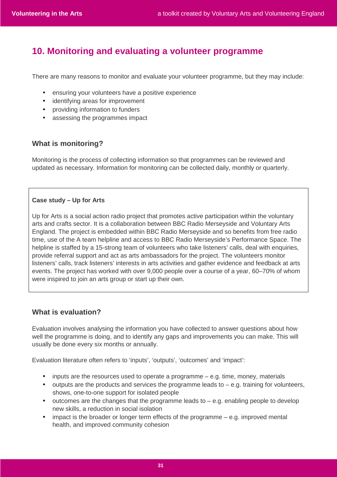# **10. Monitoring and evaluating a volunteer programme**

There are many reasons to monitor and evaluate your volunteer programme, but they may include:

- ensuring your volunteers have a positive experience
- identifying areas for improvement
- providing information to funders
- assessing the programmes impact

# **What is monitoring?**

Monitoring is the process of collecting information so that programmes can be reviewed and updated as necessary. Information for monitoring can be collected daily, monthly or quarterly.

# **Case study – Up for Arts**

Up for Arts is a social action radio project that promotes active participation within the voluntary arts and crafts sector. It is a collaboration between BBC Radio Merseyside and Voluntary Arts England. The project is embedded within BBC Radio Merseyside and so benefits from free radio time, use of the A team helpline and access to BBC Radio Merseyside's Performance Space. The helpline is staffed by a 15-strong team of volunteers who take listeners' calls, deal with enquiries, provide referral support and act as arts ambassadors for the project. The volunteers monitor listeners' calls, track listeners' interests in arts activities and gather evidence and feedback at arts events. The project has worked with over 9,000 people over a course of a year, 60–70% of whom were inspired to join an arts group or start up their own.

# **What is evaluation?**

Evaluation involves analysing the information you have collected to answer questions about how well the programme is doing, and to identify any gaps and improvements you can make. This will usually be done every six months or annually.

Evaluation literature often refers to 'inputs', 'outputs', 'outcomes' and 'impact':

- inputs are the resources used to operate a programme e.g. time, money, materials
- $\bullet$  outputs are the products and services the programme leads to  $-e.a$ . training for volunteers, shows, one-to-one support for isolated people
- $\bullet$  outcomes are the changes that the programme leads to  $-$  e.g. enabling people to develop new skills, a reduction in social isolation
- impact is the broader or longer term effects of the programme e.g. improved mental health, and improved community cohesion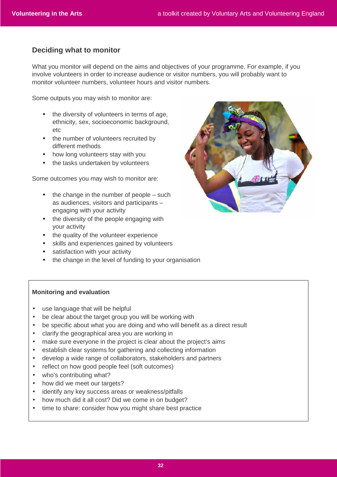# **Deciding what to monitor**

What you monitor will depend on the aims and objectives of your programme. For example, if you involve volunteers in order to increase audience or visitor numbers, you will probably want to monitor volunteer numbers, volunteer hours and visitor numbers.

Some outputs you may wish to monitor are:

- the diversity of volunteers in terms of age. ethnicity, sex, socioeconomic background, etc
- the number of volunteers recruited by different methods
- how long volunteers stay with you
- the tasks undertaken by volunteers

Some outcomes you may wish to monitor are:

- $\bullet$  the change in the number of people such as audiences, visitors and participants – engaging with your activity
- the diversity of the people engaging with your activity
- the quality of the volunteer experience
- skills and experiences gained by volunteers
- satisfaction with your activity
- the change in the level of funding to your organisation

### **Monitoring and evaluation**

- use language that will be helpful
- be clear about the target group you will be working with
- be specific about what you are doing and who will benefit as a direct result
- clarify the geographical area you are working in
- make sure everyone in the project is clear about the project's aims
- establish clear systems for gathering and collecting information
- develop a wide range of collaborators, stakeholders and partners
- reflect on how good people feel (soft outcomes)
- who's contributing what?
- how did we meet our targets?
- identify any key success areas or weakness/pitfalls
- how much did it all cost? Did we come in on budget?
- time to share: consider how you might share best practice

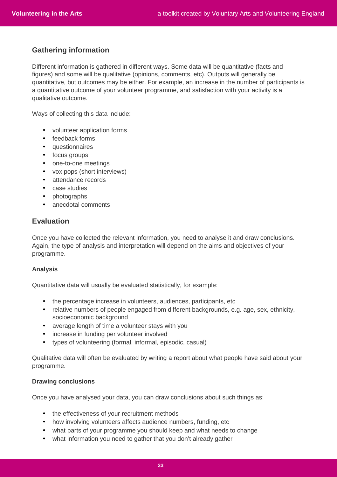# **Gathering information**

Different information is gathered in different ways. Some data will be quantitative (facts and figures) and some will be qualitative (opinions, comments, etc). Outputs will generally be quantitative, but outcomes may be either. For example, an increase in the number of participants is a quantitative outcome of your volunteer programme, and satisfaction with your activity is a qualitative outcome.

Ways of collecting this data include:

- volunteer application forms
- feedback forms
- questionnaires
- focus groups
- one-to-one meetings
- vox pops (short interviews)
- attendance records
- case studies
- photographs
- anecdotal comments

# **Evaluation**

Once you have collected the relevant information, you need to analyse it and draw conclusions. Again, the type of analysis and interpretation will depend on the aims and objectives of your programme.

#### **Analysis**

Quantitative data will usually be evaluated statistically, for example:

- the percentage increase in volunteers, audiences, participants, etc
- relative numbers of people engaged from different backgrounds, e.g. age, sex, ethnicity, socioeconomic background
- average length of time a volunteer stays with you
- increase in funding per volunteer involved
- types of volunteering (formal, informal, episodic, casual)

Qualitative data will often be evaluated by writing a report about what people have said about your programme.

#### **Drawing conclusions**

Once you have analysed your data, you can draw conclusions about such things as:

- the effectiveness of your recruitment methods
- how involving volunteers affects audience numbers, funding, etc
- what parts of your programme you should keep and what needs to change
- what information you need to gather that you don't already gather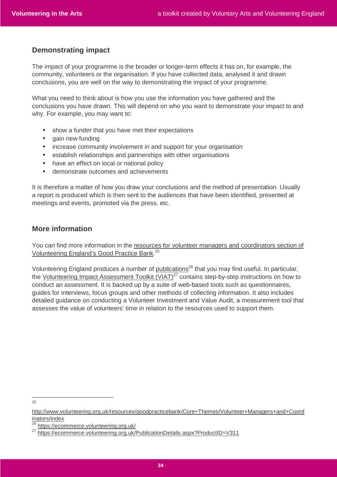# **Demonstrating impact**

The impact of your programme is the broader or longer-term effects it has on, for example, the community, volunteers or the organisation. If you have collected data, analysed it and drawn conclusions, you are well on the way to demonstrating the impact of your programme.

What you need to think about is how you use the information you have gathered and the conclusions you have drawn. This will depend on who you want to demonstrate your impact to and why. For example, you may want to:

- show a funder that you have met their expectations
- gain new funding
- increase community involvement in and support for your organisation
- establish relationships and partnerships with other organisations
- have an effect on local or national policy
- demonstrate outcomes and achievements

It is therefore a matter of how you draw your conclusions and the method of presentation. Usually a report is produced which is then sent to the audiences that have been identified, presented at meetings and events, promoted via the press, etc.

# **More information**

You can find more information in the resources for volunteer managers and coordinators section of Volunteering England's Good Practice Bank.<sup>25</sup>

Volunteering England produces a number of publications<sup>26</sup> that you may find useful. In particular, the Volunteering Impact Assessment Toolkit  $\overline{(VIAT)^{27}}$  contains step-by-step instructions on how to conduct an assessment. It is backed up by a suite of web-based tools such as questionnaires, guides for interviews, focus groups and other methods of collecting information. It also includes detailed guidance on conducting a Volunteer Investment and Value Audit, a measurement tool that assesses the value of volunteers' time in relation to the resources used to support them.

 $\frac{1}{25}$ 

http://www.volunteering.org.uk/resources/goodpracticebank/Core+Themes/Volunteer+Managers+and+Coord inators/index

 $26$  https://ecommerce.volunteering.org.uk/

<sup>&</sup>lt;sup>27</sup> https://ecommerce.volunteering.org.uk/PublicationDetails.aspx?ProductID=V311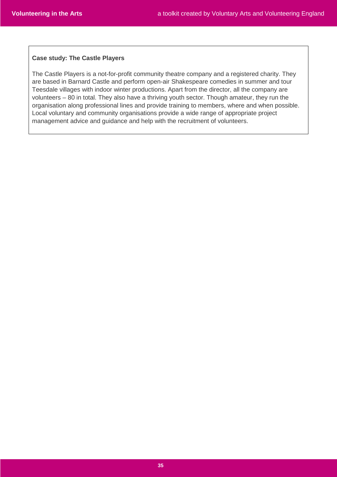### **Case study: The Castle Players**

The Castle Players is a not-for-profit community theatre company and a registered charity. They are based in Barnard Castle and perform open-air Shakespeare comedies in summer and tour Teesdale villages with indoor winter productions. Apart from the director, all the company are volunteers – 80 in total. They also have a thriving youth sector. Though amateur, they run the organisation along professional lines and provide training to members, where and when possible. Local voluntary and community organisations provide a wide range of appropriate project management advice and guidance and help with the recruitment of volunteers.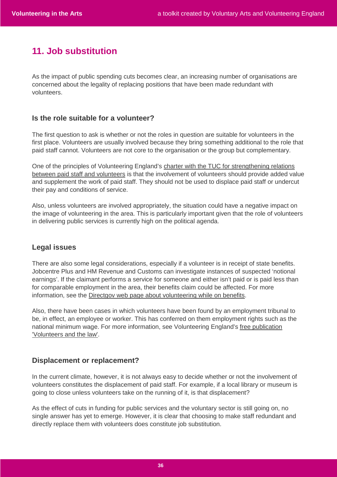# **11. Job substitution**

As the impact of public spending cuts becomes clear, an increasing number of organisations are concerned about the legality of replacing positions that have been made redundant with volunteers.

# **Is the role suitable for a volunteer?**

The first question to ask is whether or not the roles in question are suitable for volunteers in the first place. Volunteers are usually involved because they bring something additional to the role that paid staff cannot. Volunteers are not core to the organisation or the group but complementary.

One of the principles of Volunteering England's charter with the TUC for strengthening relations between paid staff and volunteers is that the involvement of volunteers should provide added value and supplement the work of paid staff. They should not be used to displace paid staff or undercut their pay and conditions of service.

Also, unless volunteers are involved appropriately, the situation could have a negative impact on the image of volunteering in the area. This is particularly important given that the role of volunteers in delivering public services is currently high on the political agenda.

# **Legal issues**

There are also some legal considerations, especially if a volunteer is in receipt of state benefits. Jobcentre Plus and HM Revenue and Customs can investigate instances of suspected 'notional earnings'. If the claimant performs a service for someone and either isn't paid or is paid less than for comparable employment in the area, their benefits claim could be affected. For more information, see the Directgov web page about volunteering while on benefits.

Also, there have been cases in which volunteers have been found by an employment tribunal to be, in effect, an employee or worker. This has conferred on them employment rights such as the national minimum wage. For more information, see Volunteering England's free publication 'Volunteers and the law'.

# **Displacement or replacement?**

In the current climate, however, it is not always easy to decide whether or not the involvement of volunteers constitutes the displacement of paid staff. For example, if a local library or museum is going to close unless volunteers take on the running of it, is that displacement?

As the effect of cuts in funding for public services and the voluntary sector is still going on, no single answer has yet to emerge. However, it is clear that choosing to make staff redundant and directly replace them with volunteers does constitute job substitution.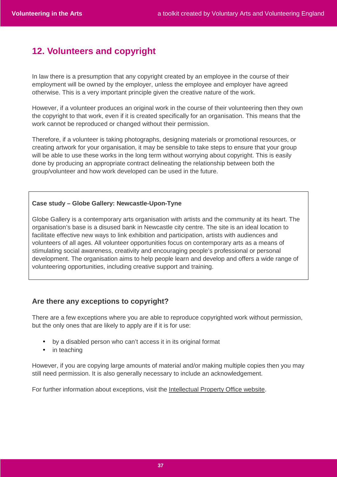# **12. Volunteers and copyright**

In law there is a presumption that any copyright created by an employee in the course of their employment will be owned by the employer, unless the employee and employer have agreed otherwise. This is a very important principle given the creative nature of the work.

However, if a volunteer produces an original work in the course of their volunteering then they own the copyright to that work, even if it is created specifically for an organisation. This means that the work cannot be reproduced or changed without their permission.

Therefore, if a volunteer is taking photographs, designing materials or promotional resources, or creating artwork for your organisation, it may be sensible to take steps to ensure that your group will be able to use these works in the long term without worrying about copyright. This is easily done by producing an appropriate contract delineating the relationship between both the group/volunteer and how work developed can be used in the future.

### **Case study – Globe Gallery: Newcastle-Upon-Tyne**

Globe Gallery is a contemporary arts organisation with artists and the community at its heart. The organisation's base is a disused bank in Newcastle city centre. The site is an ideal location to facilitate effective new ways to link exhibition and participation, artists with audiences and volunteers of all ages. All volunteer opportunities focus on contemporary arts as a means of stimulating social awareness, creativity and encouraging people's professional or personal development. The organisation aims to help people learn and develop and offers a wide range of volunteering opportunities, including creative support and training.

# **Are there any exceptions to copyright?**

There are a few exceptions where you are able to reproduce copyrighted work without permission, but the only ones that are likely to apply are if it is for use:

- by a disabled person who can't access it in its original format
- in teaching

However, if you are copying large amounts of material and/or making multiple copies then you may still need permission. It is also generally necessary to include an acknowledgement.

For further information about exceptions, visit the Intellectual Property Office website.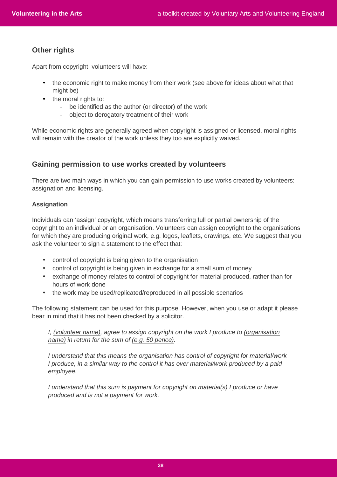# **Other rights**

Apart from copyright, volunteers will have:

- the economic right to make money from their work (see above for ideas about what that might be)
- the moral rights to:
	- be identified as the author (or director) of the work
	- object to derogatory treatment of their work

While economic rights are generally agreed when copyright is assigned or licensed, moral rights will remain with the creator of the work unless they too are explicitly waived.

# **Gaining permission to use works created by volunteers**

There are two main ways in which you can gain permission to use works created by volunteers: assignation and licensing.

### **Assignation**

Individuals can 'assign' copyright, which means transferring full or partial ownership of the copyright to an individual or an organisation. Volunteers can assign copyright to the organisations for which they are producing original work, e.g. logos, leaflets, drawings, etc. We suggest that you ask the volunteer to sign a statement to the effect that:

- control of copyright is being given to the organisation
- control of copyright is being given in exchange for a small sum of money
- exchange of money relates to control of copyright for material produced, rather than for hours of work done
- the work may be used/replicated/reproduced in all possible scenarios

The following statement can be used for this purpose. However, when you use or adapt it please bear in mind that it has not been checked by a solicitor.

I, (volunteer name), agree to assign copyright on the work I produce to (organisation name) in return for the sum of (e.g. 50 pence).

I understand that this means the organisation has control of copyright for material/work I produce, in a similar way to the control it has over material/work produced by a paid employee.

I understand that this sum is payment for copyright on material(s) I produce or have produced and is not a payment for work.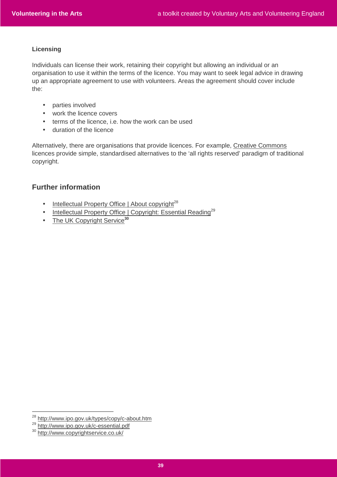### **Licensing**

Individuals can license their work, retaining their copyright but allowing an individual or an organisation to use it within the terms of the licence. You may want to seek legal advice in drawing up an appropriate agreement to use with volunteers. Areas the agreement should cover include the:

- parties involved
- work the licence covers
- terms of the licence, i.e. how the work can be used
- duration of the licence

Alternatively, there are organisations that provide licences. For example, Creative Commons licences provide simple, standardised alternatives to the 'all rights reserved' paradigm of traditional copyright.

# **Further information**

- Intellectual Property Office | About copyright $^{28}$
- Intellectual Property Office | Copyright: Essential Reading<sup>29</sup>
- The UK Copyright Service**<sup>30</sup>**

<sup>28</sup> http://www.ipo.gov.uk/types/copy/c-about.htm

<sup>29</sup> http://www.ipo.gov.uk/c-essential.pdf

<sup>30</sup> http://www.copyrightservice.co.uk/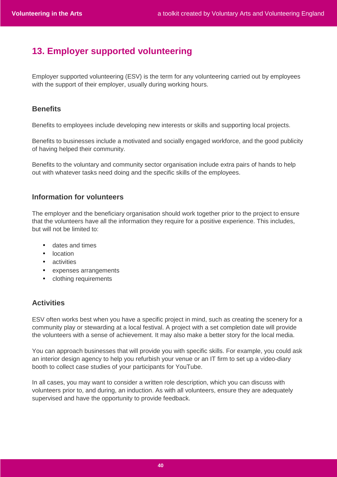# **13. Employer supported volunteering**

Employer supported volunteering (ESV) is the term for any volunteering carried out by employees with the support of their employer, usually during working hours.

# **Benefits**

Benefits to employees include developing new interests or skills and supporting local projects.

Benefits to businesses include a motivated and socially engaged workforce, and the good publicity of having helped their community.

Benefits to the voluntary and community sector organisation include extra pairs of hands to help out with whatever tasks need doing and the specific skills of the employees.

# **Information for volunteers**

The employer and the beneficiary organisation should work together prior to the project to ensure that the volunteers have all the information they require for a positive experience. This includes, but will not be limited to:

- dates and times
- location
- activities
- expenses arrangements
- clothing requirements

# **Activities**

ESV often works best when you have a specific project in mind, such as creating the scenery for a community play or stewarding at a local festival. A project with a set completion date will provide the volunteers with a sense of achievement. It may also make a better story for the local media.

You can approach businesses that will provide you with specific skills. For example, you could ask an interior design agency to help you refurbish your venue or an IT firm to set up a video-diary booth to collect case studies of your participants for YouTube.

In all cases, you may want to consider a written role description, which you can discuss with volunteers prior to, and during, an induction. As with all volunteers, ensure they are adequately supervised and have the opportunity to provide feedback.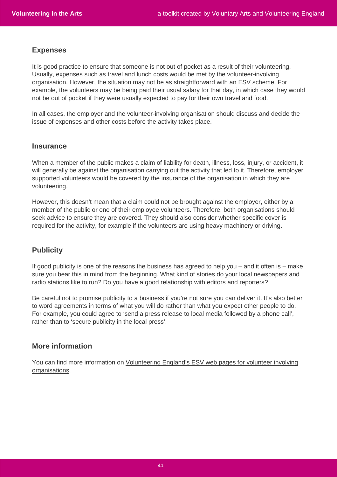### **Expenses**

It is good practice to ensure that someone is not out of pocket as a result of their volunteering. Usually, expenses such as travel and lunch costs would be met by the volunteer-involving organisation. However, the situation may not be as straightforward with an ESV scheme. For example, the volunteers may be being paid their usual salary for that day, in which case they would not be out of pocket if they were usually expected to pay for their own travel and food.

In all cases, the employer and the volunteer-involving organisation should discuss and decide the issue of expenses and other costs before the activity takes place.

### **Insurance**

When a member of the public makes a claim of liability for death, illness, loss, injury, or accident, it will generally be against the organisation carrying out the activity that led to it. Therefore, employer supported volunteers would be covered by the insurance of the organisation in which they are volunteering.

However, this doesn't mean that a claim could not be brought against the employer, either by a member of the public or one of their employee volunteers. Therefore, both organisations should seek advice to ensure they are covered. They should also consider whether specific cover is required for the activity, for example if the volunteers are using heavy machinery or driving.

# **Publicity**

If good publicity is one of the reasons the business has agreed to help you – and it often is – make sure you bear this in mind from the beginning. What kind of stories do your local newspapers and radio stations like to run? Do you have a good relationship with editors and reporters?

Be careful not to promise publicity to a business if you're not sure you can deliver it. It's also better to word agreements in terms of what you will do rather than what you expect other people to do. For example, you could agree to 'send a press release to local media followed by a phone call', rather than to 'secure publicity in the local press'.

# **More information**

You can find more information on Volunteering England's ESV web pages for volunteer involving organisations.